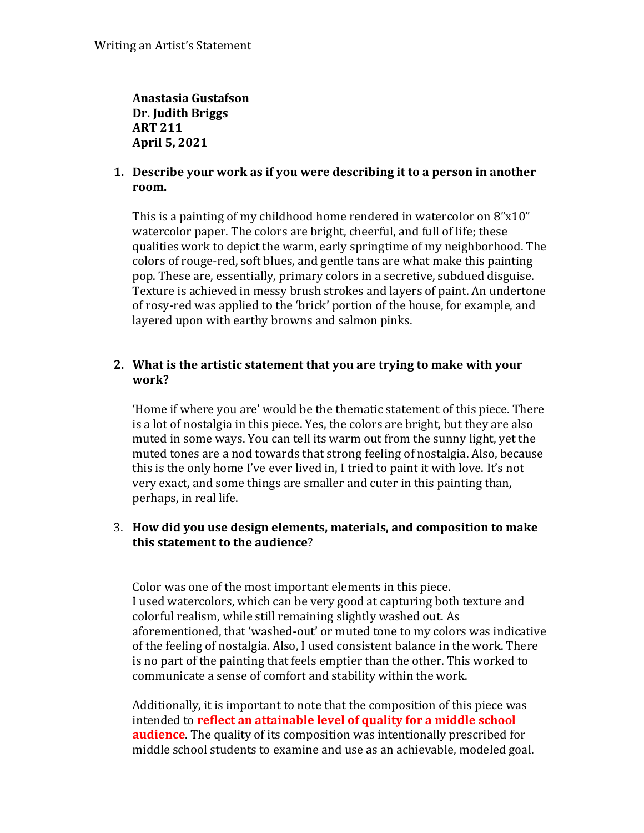**Anastasia Gustafson Dr. Judith Briggs ART 211 April 5, 2021**

## **1. Describe your work as if you were describing it to a person in another room.**

This is a painting of my childhood home rendered in watercolor on 8"x10" watercolor paper. The colors are bright, cheerful, and full of life; these qualities work to depict the warm, early springtime of my neighborhood. The colors of rouge-red, soft blues, and gentle tans are what make this painting pop. These are, essentially, primary colors in a secretive, subdued disguise. Texture is achieved in messy brush strokes and layers of paint. An undertone of rosy-red was applied to the 'brick' portion of the house, for example, and layered upon with earthy browns and salmon pinks.

# **2. What is the artistic statement that you are trying to make with your work?**

'Home if where you are' would be the thematic statement of this piece. There is a lot of nostalgia in this piece. Yes, the colors are bright, but they are also muted in some ways. You can tell its warm out from the sunny light, yet the muted tones are a nod towards that strong feeling of nostalgia. Also, because this is the only home I've ever lived in, I tried to paint it with love. It's not very exact, and some things are smaller and cuter in this painting than, perhaps, in real life.

### 3. **How did you use design elements, materials, and composition to make this statement to the audience**?

Color was one of the most important elements in this piece. I used watercolors, which can be very good at capturing both texture and colorful realism, while still remaining slightly washed out. As aforementioned, that 'washed-out' or muted tone to my colors was indicative of the feeling of nostalgia. Also, I used consistent balance in the work. There is no part of the painting that feels emptier than the other. This worked to communicate a sense of comfort and stability within the work.

Additionally, it is important to note that the composition of this piece was intended to **reflect an attainable level of quality for a middle school audience**. The quality of its composition was intentionally prescribed for middle school students to examine and use as an achievable, modeled goal.